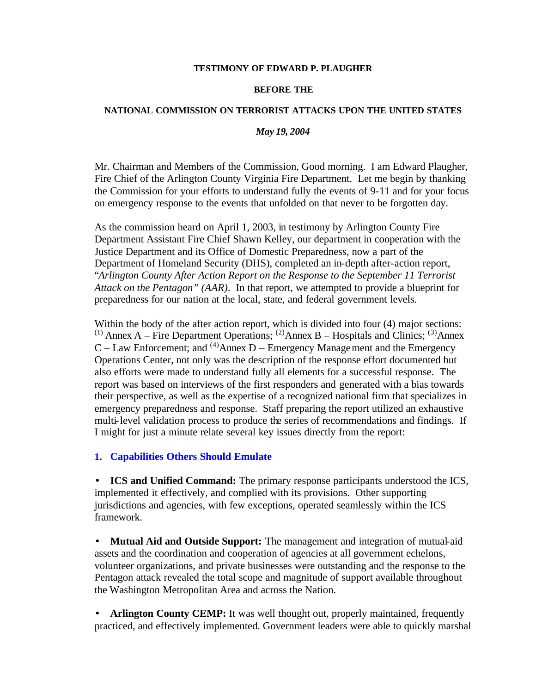#### **TESTIMONY OF EDWARD P. PLAUGHER**

#### **BEFORE THE**

### **NATIONAL COMMISSION ON TERRORIST ATTACKS UPON THE UNITED STATES**

## *May 19, 2004*

Mr. Chairman and Members of the Commission, Good morning. I am Edward Plaugher, Fire Chief of the Arlington County Virginia Fire Department. Let me begin by thanking the Commission for your efforts to understand fully the events of 9-11 and for your focus on emergency response to the events that unfolded on that never to be forgotten day.

As the commission heard on April 1, 2003, in testimony by Arlington County Fire Department Assistant Fire Chief Shawn Kelley, our department in cooperation with the Justice Department and its Office of Domestic Preparedness, now a part of the Department of Homeland Security (DHS), completed an in-depth after-action report, "*Arlington County After Action Report on the Response to the September 11 Terrorist Attack on the Pentagon" (AAR)*. In that report, we attempted to provide a blueprint for preparedness for our nation at the local, state, and federal government levels.

Within the body of the after action report, which is divided into four  $(4)$  major sections: <sup>(1)</sup> Annex A – Fire Department Operations; <sup>(2)</sup> Annex B – Hospitals and Clinics; <sup>(3)</sup> Annex  $C - Law$  Enforcement: and <sup>(4)</sup>Annex D – Emergency Management and the Emergency Operations Center, not only was the description of the response effort documented but also efforts were made to understand fully all elements for a successful response. The report was based on interviews of the first responders and generated with a bias towards their perspective, as well as the expertise of a recognized national firm that specializes in emergency preparedness and response. Staff preparing the report utilized an exhaustive multi-level validation process to produce the series of recommendations and findings. If I might for just a minute relate several key issues directly from the report:

**1. Capabilities Others Should Emulate**

• **ICS and Unified Command:** The primary response participants understood the ICS, implemented it effectively, and complied with its provisions. Other supporting jurisdictions and agencies, with few exceptions, operated seamlessly within the ICS framework.

• **Mutual Aid and Outside Support:** The management and integration of mutual-aid assets and the coordination and cooperation of agencies at all government echelons, volunteer organizations, and private businesses were outstanding and the response to the Pentagon attack revealed the total scope and magnitude of support available throughout the Washington Metropolitan Area and across the Nation.

• **Arlington County CEMP:** It was well thought out, properly maintained, frequently practiced, and effectively implemented. Government leaders were able to quickly marshal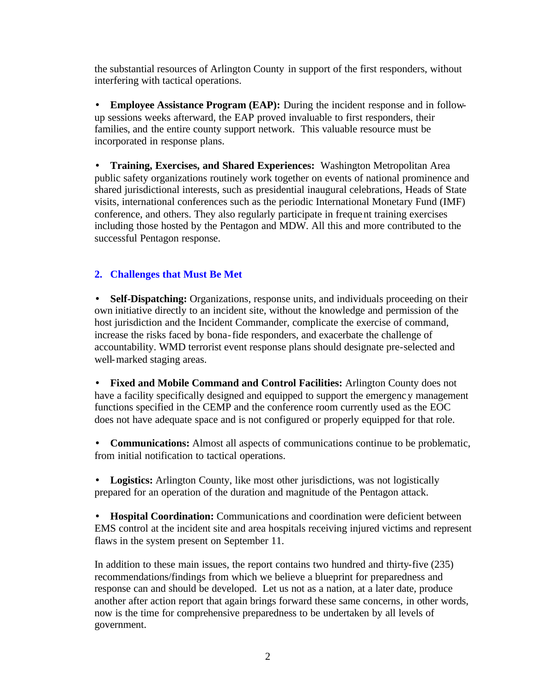the substantial resources of Arlington County in support of the first responders, without interfering with tactical operations.

• **Employee Assistance Program (EAP):** During the incident response and in followup sessions weeks afterward, the EAP proved invaluable to first responders, their families, and the entire county support network. This valuable resource must be incorporated in response plans.

• **Training, Exercises, and Shared Experiences:** Washington Metropolitan Area public safety organizations routinely work together on events of national prominence and shared jurisdictional interests, such as presidential inaugural celebrations, Heads of State visits, international conferences such as the periodic International Monetary Fund (IMF) conference, and others. They also regularly participate in frequent training exercises including those hosted by the Pentagon and MDW. All this and more contributed to the successful Pentagon response.

# **2. Challenges that Must Be Met**

• **Self-Dispatching:** Organizations, response units, and individuals proceeding on their own initiative directly to an incident site, without the knowledge and permission of the host jurisdiction and the Incident Commander, complicate the exercise of command, increase the risks faced by bona-fide responders, and exacerbate the challenge of accountability. WMD terrorist event response plans should designate pre-selected and well-marked staging areas.

• **Fixed and Mobile Command and Control Facilities:** Arlington County does not have a facility specifically designed and equipped to support the emergency management functions specified in the CEMP and the conference room currently used as the EOC does not have adequate space and is not configured or properly equipped for that role.

• **Communications:** Almost all aspects of communications continue to be problematic, from initial notification to tactical operations.

• **Logistics:** Arlington County, like most other jurisdictions, was not logistically prepared for an operation of the duration and magnitude of the Pentagon attack.

• **Hospital Coordination:** Communications and coordination were deficient between EMS control at the incident site and area hospitals receiving injured victims and represent flaws in the system present on September 11.

In addition to these main issues, the report contains two hundred and thirty-five (235) recommendations/findings from which we believe a blueprint for preparedness and response can and should be developed. Let us not as a nation, at a later date, produce another after action report that again brings forward these same concerns, in other words, now is the time for comprehensive preparedness to be undertaken by all levels of government.